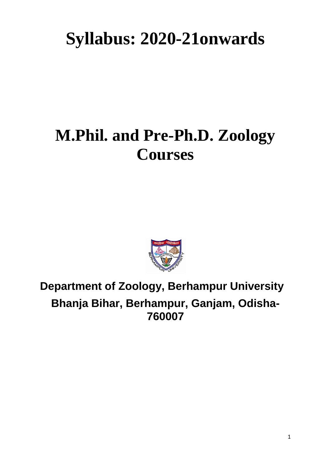# **Syllabus: 2020-21onwards**

## **M.Phil. and Pre-Ph.D. Zoology Courses**



## **Department of Zoology, Berhampur University Bhanja Bihar, Berhampur, Ganjam, Odisha-760007**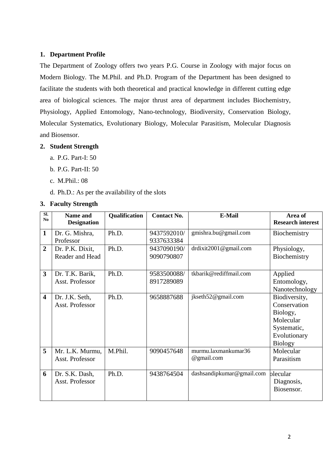#### **1. Department Profile**

The Department of Zoology offers two years P.G. Course in Zoology with major focus on Modern Biology. The M.Phil. and Ph.D. Program of the Department has been designed to facilitate the students with both theoretical and practical knowledge in different cutting edge area of biological sciences. The major thrust area of department includes Biochemistry, Physiology, Applied Entomology, Nano-technology, Biodiversity, Conservation Biology, Molecular Systematics, Evolutionary Biology, Molecular Parasitism, Molecular Diagnosis and Biosensor.

#### **2. Student Strength**

- a. P.G. Part-I: 50
- b. P.G. Part-II: 50
- c. M.Phil.: 08
- d. Ph.D.: As per the availability of the slots

#### **3. Faculty Strength**

| Sl.<br>N <sub>0</sub>   | <b>Name and</b>    | Qualification | <b>Contact No.</b> | E-Mail                    | Area of                  |
|-------------------------|--------------------|---------------|--------------------|---------------------------|--------------------------|
|                         | <b>Designation</b> |               |                    |                           | <b>Research interest</b> |
| $\mathbf{1}$            | Dr. G. Mishra,     | Ph.D.         | 9437592010/        | gmishra.bu@gmail.com      | Biochemistry             |
|                         | Professor          |               | 9337633384         |                           |                          |
| $\overline{2}$          | Dr. P.K. Dixit,    | Ph.D.         | 9437090190/        | drdixit2001@gmail.com     | Physiology,              |
|                         | Reader and Head    |               | 9090790807         |                           | Biochemistry             |
|                         |                    |               |                    |                           |                          |
| $\overline{\mathbf{3}}$ | Dr. T.K. Barik,    | Ph.D.         | 9583500088/        | tkbarik@rediffmail.com    | Applied                  |
|                         | Asst. Professor    |               | 8917289089         |                           | Entomology,              |
|                         |                    |               |                    |                           | Nanotechnology           |
| $\overline{\mathbf{4}}$ | Dr. J.K. Seth,     | Ph.D.         | 9658887688         | jkseth52@gmail.com        | Biodiversity,            |
|                         | Asst. Professor    |               |                    |                           | Conservation             |
|                         |                    |               |                    |                           | Biology,                 |
|                         |                    |               |                    |                           | Molecular                |
|                         |                    |               |                    |                           | Systematic,              |
|                         |                    |               |                    |                           | Evolutionary             |
|                         |                    |               |                    |                           | <b>Biology</b>           |
| 5                       | Mr. L.K. Murmu,    | M.Phil.       | 9090457648         | murmu.laxmankumar36       | Molecular                |
|                         | Asst. Professor    |               |                    | @gmail.com                | Parasitism               |
|                         |                    |               |                    |                           |                          |
| 6                       | Dr. S.K. Dash,     | Ph.D.         | 9438764504         | dashsandipkumar@gmail.com | olecular                 |
|                         | Asst. Professor    |               |                    |                           | Diagnosis,               |
|                         |                    |               |                    |                           | Biosensor.               |
|                         |                    |               |                    |                           |                          |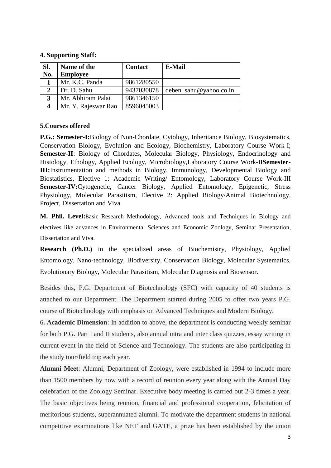#### **4. Supporting Staff:**

| Sl. | Name of the         | <b>Contact</b> | <b>E-Mail</b>          |
|-----|---------------------|----------------|------------------------|
| No. | <b>Employee</b>     |                |                        |
|     | Mr. K.C. Panda      | 9861280550     |                        |
|     | Dr. D. Sahu         | 9437030878     | deben_sahu@yahoo.co.in |
| 3   | Mr. Abhiram Palai   | 9861346150     |                        |
|     | Mr. Y. Rajeswar Rao | 8596045003     |                        |

#### **5.Courses offered**

**P.G.: Semester-I:**Biology of Non-Chordate, Cytology, Inheritance Biology, Biosystematics, Conservation Biology, Evolution and Ecology, Biochemistry, Laboratory Course Work-I; **Semester-II**: Biology of Chordates, Molecular Biology, Physiology, Endocrinology and Histology, Ethology, Applied Ecology, Microbiology,Laboratory Course Work-II**Semester-III:**Instrumentation and methods in Biology, Immunology, Developmental Biology and Biostatistics, Elective 1: Academic Writing/ Entomology, Laboratory Course Work-III **Semester-IV:**Cytogenetic, Cancer Biology, Applied Entomology, Epigenetic, Stress Physiology, Molecular Parasitism, Elective 2: Applied Biology/Animal Biotechnology, Project, Dissertation and Viva

**M. Phil. Level:**Basic Research Methodology, Advanced tools and Techniques in Biology and electives like advances in Environmental Sciences and Economic Zoology, Seminar Presentation, Dissertation and Viva.

**Research (Ph.D.)** in the specialized areas of Biochemistry, Physiology, Applied Entomology, Nano-technology, Biodiversity, Conservation Biology, Molecular Systematics, Evolutionary Biology, Molecular Parasitism, Molecular Diagnosis and Biosensor.

Besides this, P.G. Department of Biotechnology (SFC) with capacity of 40 students is attached to our Department. The Department started during 2005 to offer two years P.G. course of Biotechnology with emphasis on Advanced Techniques and Modern Biology.

6**. Academic Dimension**: In addition to above, the department is conducting weekly seminar for both P.G. Part I and II students, also annual intra and inter class quizzes, essay writing in current event in the field of Science and Technology. The students are also participating in the study tour/field trip each year.

**Alumni Meet**: Alumni, Department of Zoology, were established in 1994 to include more than 1500 members by now with a record of reunion every year along with the Annual Day celebration of the Zoology Seminar. Executive body meeting is carried out 2-3 times a year. The basic objectives being reunion, financial and professional cooperation, felicitation of meritorious students, superannuated alumni. To motivate the department students in national competitive examinations like NET and GATE, a prize has been established by the union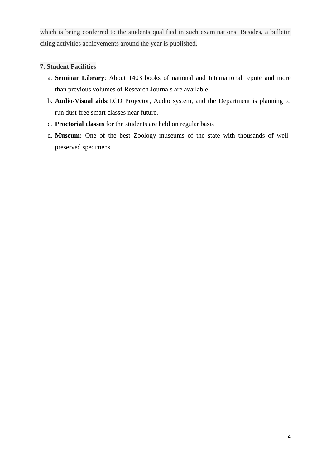which is being conferred to the students qualified in such examinations. Besides, a bulletin citing activities achievements around the year is published.

#### **7. Student Facilities**

- a. **Seminar Library**: About 1403 books of national and International repute and more than previous volumes of Research Journals are available.
- b. **Audio-Visual aids:**LCD Projector, Audio system, and the Department is planning to run dust-free smart classes near future.
- c. **Proctorial classes** for the students are held on regular basis
- d. **Museum:** One of the best Zoology museums of the state with thousands of wellpreserved specimens.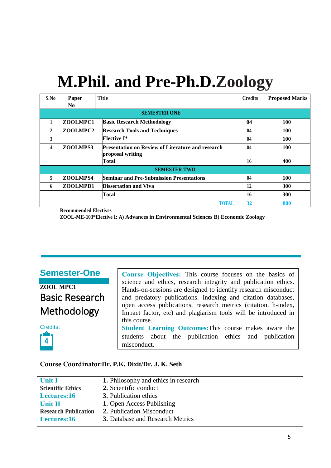## **M.Phil. and Pre-Ph.D.Zoology**

| S.No           | Paper          | <b>Title</b>                                                                 | <b>Credits</b> | <b>Proposed Marks</b> |
|----------------|----------------|------------------------------------------------------------------------------|----------------|-----------------------|
|                | N <sub>0</sub> |                                                                              |                |                       |
|                |                | <b>SEMESTER ONE</b>                                                          |                |                       |
| 1              | ZOOLMPC1       | <b>Basic Research Methodology</b>                                            | 04             | <b>100</b>            |
| $\overline{2}$ | ZOOLMPC2       | <b>Research Tools and Techniques</b>                                         | 04             | <b>100</b>            |
| 3              |                | <b>Elective I*</b>                                                           | 04             | <b>100</b>            |
| 4              | ZOOLMPS3       | <b>Presentation on Review of Literature and research</b><br>proposal writing | 04             | 100                   |
|                |                | Total                                                                        | 16             | 400                   |
|                |                | <b>SEMESTER TWO</b>                                                          |                |                       |
| 5              | ZOOLMPS4       | <b>Seminar and Pre-Submission Presentations</b>                              | 04             | 100                   |
| 6              | ZOOLMPD1       | <b>Dissertation and Viva</b>                                                 | 12             | 300                   |
|                |                | Total                                                                        | 16             | <b>300</b>            |
|                |                | <b>TOTAL</b>                                                                 | 32             | 800                   |

**Recommended Electives**

**ZOOL-ME-103\*Elective I: A) Advances in Environmental Sciences B) Economic Zoology**

**Semester-One**

**ZOOL MPC1** Basic Research Methodology



Course Objectives: This course focuses on the basics of science and ethics, research integrity and publication ethics. Hands-on-sessions are designed to identify research misconduct and predatory publications. Indexing and citation databases, open access publications, research metrics (citation, h-index, Impact factor, etc) and plagiarism tools will be introduced in this course. **Student Learning Outcomes:**This course makes aware the students about the publication ethics and publication misconduct.

#### **Course Coordinator:Dr. P.K. Dixit/Dr. J. K. Seth**

| <b>Unit I</b>               | 1. Philosophy and ethics in research    |
|-----------------------------|-----------------------------------------|
| <b>Scientific Ethics</b>    | 2. Scientific conduct                   |
| Lectures:16                 | <b>3.</b> Publication ethics            |
| Unit II                     | <b>1. Open Access Publishing</b>        |
| <b>Research Publication</b> | 2. Publication Misconduct               |
| Lectures:16                 | <b>3.</b> Database and Research Metrics |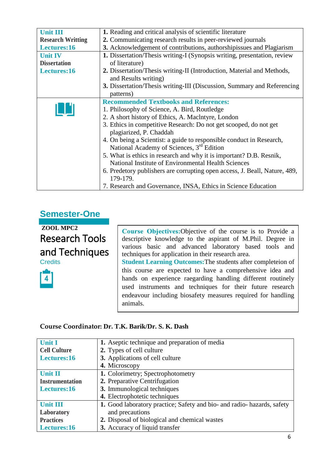| <b>Unit III</b>                                                                         | 1. Reading and critical analysis of scientific literature                                      |  |
|-----------------------------------------------------------------------------------------|------------------------------------------------------------------------------------------------|--|
| 2. Communicating research results in peer-reviewed journals<br><b>Research Writting</b> |                                                                                                |  |
| Lectures:16                                                                             | 3. Acknowledgement of contributions, authorshipissues and Plagiarism                           |  |
| <b>Unit IV</b>                                                                          | 1. Dissertation/Thesis writing-I (Synopsis writing, presentation, review                       |  |
| <b>Dissertation</b>                                                                     | of literature)                                                                                 |  |
| Lectures:16                                                                             | 2. Dissertation/Thesis writing-II (Introduction, Material and Methods,<br>and Results writing) |  |
|                                                                                         | <b>3.</b> Dissertation/Thesis writing-III (Discussion, Summary and Referencing<br>patterns)    |  |
|                                                                                         | <b>Recommended Textbooks and References:</b>                                                   |  |
|                                                                                         | 1. Philosophy of Science, A. Bird, Routledge                                                   |  |
|                                                                                         | 2. A short history of Ethics, A. MacIntyre, London                                             |  |
|                                                                                         | 3. Ethics in competitive Research: Do not get scooped, do not get                              |  |
|                                                                                         | plagiarized, P. Chaddah                                                                        |  |
|                                                                                         | 4. On being a Scientist: a guide to responsible conduct in Research,                           |  |
|                                                                                         | National Academy of Sciences, 3 <sup>rd</sup> Edition                                          |  |
|                                                                                         | 5. What is ethics in research and why it is important? D.B. Resnik,                            |  |
|                                                                                         | National Institute of Environmental Health Sciences                                            |  |
|                                                                                         | 6. Predetory publishers are corrupting open access, J. Beall, Nature, 489,<br>179-179.         |  |
|                                                                                         | 7. Research and Governance, INSA, Ethics in Science Education                                  |  |

### **Semester-One**

**ZOOL MPC2** Research Tools and Techniques **Credits** 

Course Objectives: Objective of the course is to Provide a descriptive knowledge to the aspirant of M.Phil. Degree in various basic and advanced laboratory based tools and techniques for application in their research area.

**Student Learning Outcomes:**The students after completeion of this course are expected to have a comprehensive idea and hands on experience raegarding handling different routinely used instruments and techniques for their future research endeavour including biosafety measures required for handling animals.

#### **Course Coordinator: Dr. T.K. Barik/Dr. S. K. Dash**

| <b>Unit I</b>          | 1. Aseptic technique and preparation of media                           |
|------------------------|-------------------------------------------------------------------------|
| <b>Cell Culture</b>    | 2. Types of cell culture                                                |
| Lectures:16            | 3. Applications of cell culture                                         |
|                        | 4. Microscopy                                                           |
| <b>Unit II</b>         | 1. Colorimetry; Spectrophotometry                                       |
| <b>Instrumentation</b> | 2. Preparative Centrifugation                                           |
| Lectures:16            | 3. Immunological techniques                                             |
|                        | 4. Electrophotetic techniques                                           |
| <b>Unit III</b>        | 1. Good laboratory practice; Safety and bio- and radio- hazards, safety |
| Laboratory             | and precautions                                                         |
| <b>Practices</b>       | 2. Disposal of biological and chemical wastes                           |
| Lectures:16            | 3. Accuracy of liquid transfer                                          |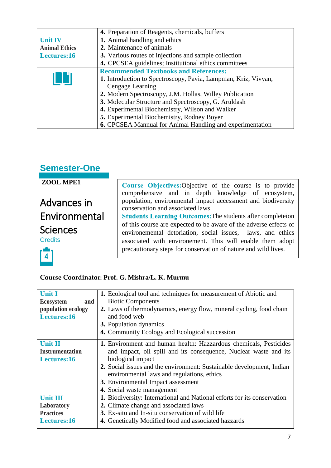|                                                         | 4. Preparation of Reagents, chemicals, buffers                   |
|---------------------------------------------------------|------------------------------------------------------------------|
| <b>Unit IV</b>                                          | 1. Animal handling and ethics                                    |
| <b>Animal Ethics</b>                                    | 2. Maintenance of animals                                        |
| Lectures:16                                             | 3. Various routes of injections and sample collection            |
|                                                         | 4. CPCSEA guidelines; Institutional ethics committees            |
| <b>Recommended Textbooks and References:</b>            |                                                                  |
|                                                         | 1. Introduction to Spectroscopy, Pavia, Lampman, Kriz, Vivyan,   |
|                                                         | Cengage Learning                                                 |
| 2. Modern Spectroscopy, J.M. Hollas, Willey Publication |                                                                  |
|                                                         | 3. Molecular Structure and Spectroscopy, G. Aruldash             |
|                                                         | 4. Experimental Biochemistry, Wilson and Walker                  |
|                                                         | 5. Experimental Biochemistry, Rodney Boyer                       |
|                                                         | <b>6.</b> CPCSEA Mannual for Animal Handling and experimentation |

## **Semester-One**

**ZOOL MPE1** Course Objectives: Objective of the course is to provide comprehensive and in depth knowledge of ecosystem, population, environmental impact accessment and biodiversity Advances in conservation and associated laws. Environmental Students Learning Outcomes: The students after completeion of this course are expected to be aware of the adverse effects of **Sciences** environemental detoriation, social issues, laws, and ethics **Credits** associated with environement. This will enable them adopt precautionary steps for conservation of nature and wild lives. $\overline{\mathbf{4}}$ 

#### **Course Coordinator: Prof. G. Mishra/L. K. Murmu**

| <b>Unit I</b>                                                              | 1. Ecological tool and techniques for measurement of Abiotic and         |
|----------------------------------------------------------------------------|--------------------------------------------------------------------------|
| <b>Ecosystem</b><br>and                                                    | <b>Biotic Components</b>                                                 |
| population ecology                                                         | 2. Laws of thermodynamics, energy flow, mineral cycling, food chain      |
| Lectures:16                                                                | and food web                                                             |
|                                                                            | <b>3.</b> Population dynamics                                            |
|                                                                            | 4. Community Ecology and Ecological succession                           |
| <b>Unit II</b>                                                             | 1. Environment and human health: Hazzardous chemicals, Pesticides        |
| <b>Instrumentation</b>                                                     | and impact, oil spill and its consequence, Nuclear waste and its         |
| Lectures:16                                                                | biological impact                                                        |
|                                                                            | 2. Social issues and the environment: Sustainable development, Indian    |
|                                                                            | environmental laws and regulations, ethics                               |
|                                                                            | 3. Environmental Impact assessment                                       |
|                                                                            | 4. Social waste management                                               |
| <b>Unit III</b>                                                            | 1. Biodiversity: International and National efforts for its conservation |
| Laboratory                                                                 | 2. Climate change and associated laws                                    |
| <b>Practices</b>                                                           | 3. Ex-situ and In-situ conservation of wild life                         |
| Lectures:16<br><b>4.</b> Genetically Modified food and associated hazzards |                                                                          |
|                                                                            |                                                                          |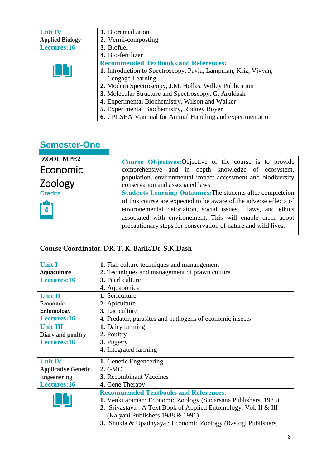| <b>Unit IV</b>         | 1. Bioremediation                                                |  |  |
|------------------------|------------------------------------------------------------------|--|--|
| <b>Applied Biology</b> | 2. Vermi-composting                                              |  |  |
| Lectures:16            | 3. Biofuel                                                       |  |  |
|                        | 4. Bio-fertilizer                                                |  |  |
|                        | <b>Recommended Textbooks and References:</b>                     |  |  |
|                        | 1. Introduction to Spectroscopy, Pavia, Lampman, Kriz, Vivyan,   |  |  |
|                        | Cengage Learning                                                 |  |  |
|                        | 2. Modern Spectroscopy, J.M. Hollas, Willey Publication          |  |  |
|                        | 3. Molecular Structure and Spectroscopy, G. Aruldash             |  |  |
|                        | 4. Experimental Biochemistry, Wilson and Walker                  |  |  |
|                        | 5. Experimental Biochemistry, Rodney Boyer                       |  |  |
|                        | <b>6.</b> CPCSEA Mannual for Animal Handling and experimentation |  |  |

## **Semester-One**

**ZOOL MPE2** Economic Zoology **Credits** 



Course Objectives: Objective of the course is to provide comprehensive and in depth knowledge of ecosystem, population, environmental impact accessment and biodiversity conservation and associated laws. Students Learning Outcomes: The students after completeion of this course are expected to be aware of the adverse effects of

environemental detoriation, social issues, laws, and ethics associated with environement. This will enable them adopt precautionary steps for conservation of nature and wild lives.

#### **Course Coordinator: DR. T. K. Barik/Dr. S.K.Dash**

| <b>Unit I</b>                                                | 1. Fish culture techniques and manangement                           |  |
|--------------------------------------------------------------|----------------------------------------------------------------------|--|
| 2. Techniques and management of prawn culture<br>Aquaculture |                                                                      |  |
| Lectures:16                                                  | 3. Pearl culture                                                     |  |
|                                                              | 4. Aquaponics                                                        |  |
| <b>Unit II</b>                                               | 1. Sericulture                                                       |  |
| Economic                                                     | 2. Apiculture                                                        |  |
| Entomology                                                   | 3. Lac culture                                                       |  |
| Lectures:16                                                  | 4. Predator, parasites and pathogens of economic insects             |  |
| <b>Unit III</b>                                              | 1. Dairy farming                                                     |  |
| Diary and poultry                                            | 2. Poultry                                                           |  |
| Lectures:16                                                  | 3. Piggery                                                           |  |
|                                                              | 4. Integrated farming                                                |  |
| <b>Unit IV</b>                                               | <b>1.</b> Genetic Engeneering                                        |  |
| <b>Applicative Genetic</b>                                   | 2. GMO                                                               |  |
| <b>3.</b> Recombinant Vaccines<br><b>Engeenering</b>         |                                                                      |  |
| Lectures:16<br>4. Gene Therapy                               |                                                                      |  |
|                                                              | <b>Recommended Textbooks and References:</b>                         |  |
|                                                              | 1. Venkitaraman: Economic Zoology (Sudarsana Publishers, 1983)       |  |
|                                                              | 2. Srivastava: A Text Book of Applied Entomology, Vol. II & III      |  |
|                                                              | (Kalyani Publishers, 1988 & 1991)                                    |  |
|                                                              | <b>3.</b> Shukla & Upadhyaya : Economic Zoology (Rastogi Publishers, |  |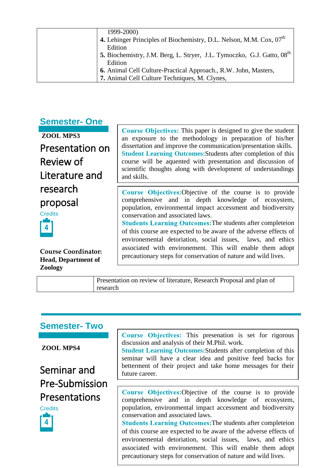| 1999-2000)                                                                         |
|------------------------------------------------------------------------------------|
| 4. Lehinger Principles of Biochemistry, D.L. Nelson, M.M. Cox, 07 <sup>th</sup>    |
| Edition                                                                            |
| 5. Biochemistry, J.M. Berg, L. Stryer, J.L. Tymoczko, G.J. Gatto, 08 <sup>th</sup> |
| Edition                                                                            |
| 6. Animal Cell Culture-Practical Approach., R.W. John, Masters,                    |
| 7. Animal Cell Culture Techniques, M. Clynes,                                      |

### **Semester- One**

**ZOOL MPS3**

Presentation on Review of Literature and research proposal **Credits** 



**Course Coordinator: Head, Department of Zoology**

Course Objectives: This paper is designed to give the student an exposure to the methodology in preparation of his/her dissertation and improve the communication/presentation skills. **Student Learning Outcomes:**Students after completion of this course will be aquented with presentation and discussion of scientific thoughts along with development of understandings and skills.

Course Objectives: Objective of the course is to provide comprehensive and in depth knowledge of ecosystem, population, environmental impact accessment and biodiversity conservation and associated laws.

**Students Learning Outcomes: The students after completeion** of this course are expected to be aware of the adverse effects of environemental detoriation, social issues, laws, and ethics associated with environement. This will enable them adopt precautionary steps for conservation of nature and wild lives.

Presentation on review of literature, Research Proposal and plan of research

## **Semester- Two**

**ZOOL MPS4**

Seminar and Pre-Submission Presentations



Course Objectives: This presenation is set for rigorous discussion and analysis of their M.Phil. work.

**Student Learning Outcomes:**Students after completion of this seminar will have a clear idea and positive feed backs for betterment of their project and take home messages for their future career.

Course Objectives: Objective of the course is to provide comprehensive and in depth knowledge of ecosystem, population, environmental impact accessment and biodiversity conservation and associated laws.

laws, and ethics **Students Learning Outcomes: The students after completeion** of this course are expected to be aware of the adverse effects of environemental detoriation, social issues, associated with environement. This will enable them adopt precautionary steps for conservation of nature and wild lives.